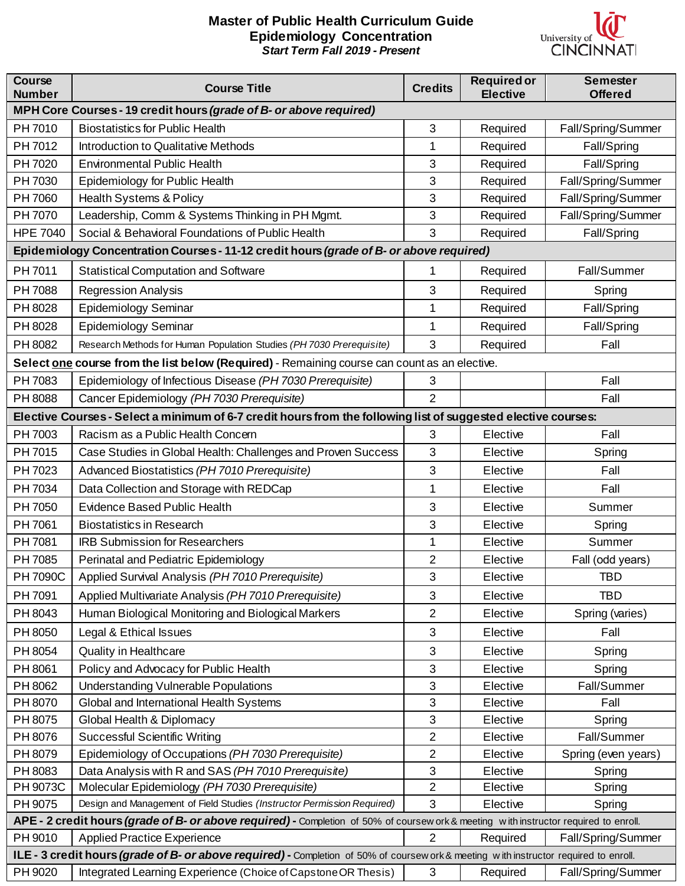## **Master of Public Health Curriculum Guide Epidemiology Concentration** *Start Term Fall 2019 - Present*



| <b>Course</b><br><b>Number</b>                                                                                                        | <b>Course Title</b>                                                                                                                   | <b>Credits</b> | <b>Required or</b><br><b>Elective</b> | <b>Semester</b><br><b>Offered</b> |  |  |
|---------------------------------------------------------------------------------------------------------------------------------------|---------------------------------------------------------------------------------------------------------------------------------------|----------------|---------------------------------------|-----------------------------------|--|--|
| MPH Core Courses - 19 credit hours (grade of B- or above required)                                                                    |                                                                                                                                       |                |                                       |                                   |  |  |
| PH 7010                                                                                                                               | <b>Biostatistics for Public Health</b>                                                                                                | 3              | Required                              | Fall/Spring/Summer                |  |  |
| PH 7012                                                                                                                               | Introduction to Qualitative Methods                                                                                                   | 1              | Required                              | Fall/Spring                       |  |  |
| PH 7020                                                                                                                               | <b>Environmental Public Health</b>                                                                                                    | 3              | Required                              | Fall/Spring                       |  |  |
| PH 7030                                                                                                                               | Epidemiology for Public Health                                                                                                        | 3              | Required                              | Fall/Spring/Summer                |  |  |
| PH 7060                                                                                                                               | Health Systems & Policy                                                                                                               | 3              | Required                              | Fall/Spring/Summer                |  |  |
| PH 7070                                                                                                                               | Leadership, Comm & Systems Thinking in PH Mgmt.                                                                                       | 3              | Required                              | Fall/Spring/Summer                |  |  |
| <b>HPE 7040</b>                                                                                                                       | Social & Behavioral Foundations of Public Health                                                                                      | 3              | Required                              | Fall/Spring                       |  |  |
| Epidemiology Concentration Courses - 11-12 credit hours (grade of B- or above required)                                               |                                                                                                                                       |                |                                       |                                   |  |  |
| PH 7011                                                                                                                               | <b>Statistical Computation and Software</b>                                                                                           | 1              | Required                              | Fall/Summer                       |  |  |
| PH 7088                                                                                                                               | <b>Regression Analysis</b>                                                                                                            | 3              | Required                              | Spring                            |  |  |
| PH 8028                                                                                                                               | <b>Epidemiology Seminar</b>                                                                                                           | 1              | Required                              | Fall/Spring                       |  |  |
| PH 8028                                                                                                                               | <b>Epidemiology Seminar</b>                                                                                                           | 1              | Required                              | Fall/Spring                       |  |  |
| PH 8082                                                                                                                               | Research Methods for Human Population Studies (PH 7030 Prerequisite)                                                                  | 3              | Required                              | Fall                              |  |  |
|                                                                                                                                       | Select one course from the list below (Required) - Remaining course can count as an elective.                                         |                |                                       |                                   |  |  |
| PH 7083                                                                                                                               | Epidemiology of Infectious Disease (PH 7030 Prerequisite)                                                                             | 3              |                                       | Fall                              |  |  |
| PH 8088                                                                                                                               | Cancer Epidemiology (PH 7030 Prerequisite)                                                                                            | $\overline{2}$ |                                       | Fall                              |  |  |
| Elective Courses - Select a minimum of 6-7 credit hours from the following list of suggested elective courses:                        |                                                                                                                                       |                |                                       |                                   |  |  |
| PH 7003                                                                                                                               | Racism as a Public Health Concern                                                                                                     | 3              | Elective                              | Fall                              |  |  |
| PH 7015                                                                                                                               | Case Studies in Global Health: Challenges and Proven Success                                                                          | 3              | Elective                              | Spring                            |  |  |
| PH 7023                                                                                                                               | Advanced Biostatistics (PH 7010 Prerequisite)                                                                                         | 3              | Elective                              | Fall                              |  |  |
| PH 7034                                                                                                                               | Data Collection and Storage with REDCap                                                                                               | 1              | Elective                              | Fall                              |  |  |
| PH 7050                                                                                                                               | <b>Evidence Based Public Health</b>                                                                                                   | 3              | Elective                              | Summer                            |  |  |
| PH 7061                                                                                                                               | <b>Biostatistics in Research</b>                                                                                                      | 3              | Elective                              | Spring                            |  |  |
| PH 7081                                                                                                                               | <b>IRB Submission for Researchers</b>                                                                                                 | 1              | Elective                              | Summer                            |  |  |
| PH 7085                                                                                                                               | Perinatal and Pediatric Epidemiology                                                                                                  | 2              | Elective                              | Fall (odd years)                  |  |  |
| PH 7090C                                                                                                                              | Applied Survival Analysis (PH 7010 Prerequisite)                                                                                      | 3              | Elective                              | <b>TBD</b>                        |  |  |
| PH 7091                                                                                                                               | Applied Multivariate Analysis (PH 7010 Prerequisite)                                                                                  | 3              | Elective                              | <b>TBD</b>                        |  |  |
| PH 8043                                                                                                                               | Human Biological Monitoring and Biological Markers                                                                                    | $\overline{c}$ | Elective                              | Spring (varies)                   |  |  |
| PH 8050                                                                                                                               | Legal & Ethical Issues                                                                                                                | 3              | Elective                              | Fall                              |  |  |
| PH 8054                                                                                                                               | <b>Quality in Healthcare</b>                                                                                                          | 3              | Elective                              | Spring                            |  |  |
| PH 8061                                                                                                                               | Policy and Advocacy for Public Health                                                                                                 | 3              | Elective                              | Spring                            |  |  |
| PH 8062                                                                                                                               | <b>Understanding Vulnerable Populations</b>                                                                                           | 3              | Elective                              | Fall/Summer                       |  |  |
| PH 8070                                                                                                                               | Global and International Health Systems                                                                                               | 3              | Elective                              | Fall                              |  |  |
| PH 8075                                                                                                                               | Global Health & Diplomacy                                                                                                             | 3              | Elective                              | Spring                            |  |  |
| PH 8076                                                                                                                               | <b>Successful Scientific Writing</b>                                                                                                  | $\overline{2}$ | Elective                              | Fall/Summer                       |  |  |
| PH 8079                                                                                                                               | Epidemiology of Occupations (PH 7030 Prerequisite)                                                                                    | $\mathbf{2}$   | Elective                              | Spring (even years)               |  |  |
| PH 8083                                                                                                                               | Data Analysis with R and SAS (PH 7010 Prerequisite)                                                                                   | 3              | Elective                              | Spring                            |  |  |
| PH 9073C                                                                                                                              | Molecular Epidemiology (PH 7030 Prerequisite)                                                                                         | $\overline{2}$ | Elective                              | Spring                            |  |  |
| PH 9075                                                                                                                               | Design and Management of Field Studies (Instructor Permission Required)                                                               | 3              | Elective                              | Spring                            |  |  |
| APE - 2 credit hours (grade of B- or above required) - Completion of 50% of coursew ork & meeting with instructor required to enroll. |                                                                                                                                       |                |                                       |                                   |  |  |
| PH 9010                                                                                                                               | <b>Applied Practice Experience</b>                                                                                                    | $\overline{2}$ | Required                              | Fall/Spring/Summer                |  |  |
|                                                                                                                                       | ILE - 3 credit hours (grade of B- or above required) - Completion of 50% of coursew ork & meeting with instructor required to enroll. |                |                                       |                                   |  |  |
| PH 9020                                                                                                                               | Integrated Learning Experience (Choice of Capstone OR Thesis)                                                                         | 3              | Required                              | Fall/Spring/Summer                |  |  |